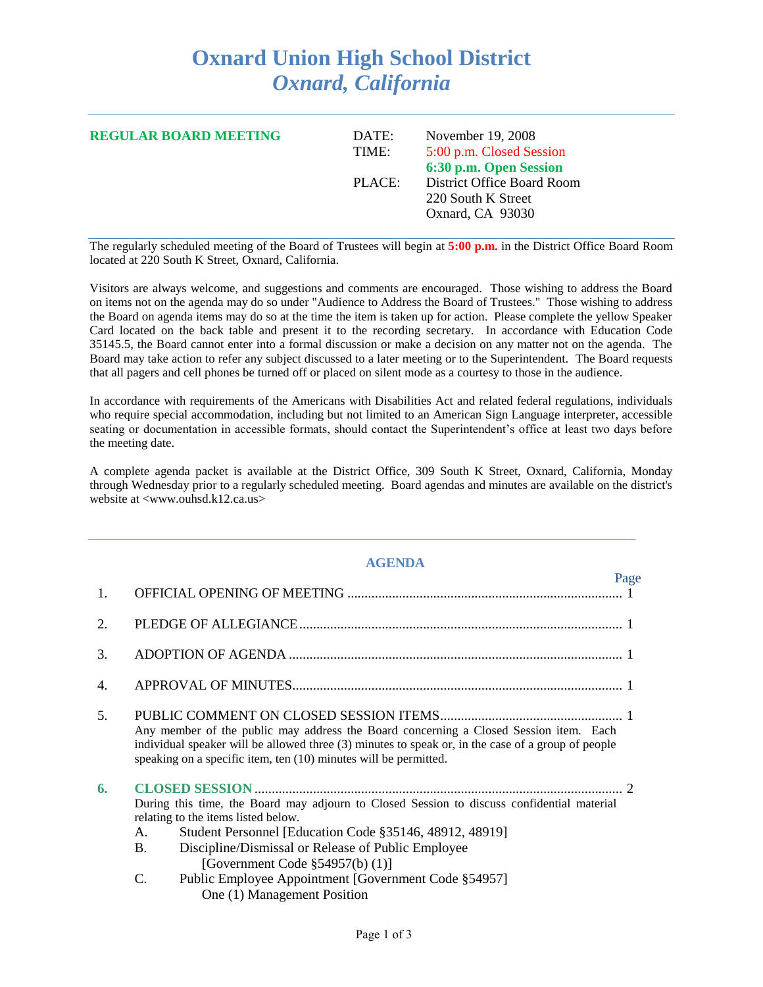## **Oxnard Union High School District** *Oxnard, California*

| <b>REGULAR BOARD MEETING</b> | DATE:<br>TIME: | November 19, 2008<br>5:00 p.m. Closed Session<br>6:30 p.m. Open Session<br>District Office Board Room<br>220 South K Street<br>Oxnard, CA 93030 |
|------------------------------|----------------|-------------------------------------------------------------------------------------------------------------------------------------------------|
|                              | PLACE:         |                                                                                                                                                 |

The regularly scheduled meeting of the Board of Trustees will begin at **5:00 p.m.** in the District Office Board Room located at 220 South K Street, Oxnard, California.

Visitors are always welcome, and suggestions and comments are encouraged. Those wishing to address the Board on items not on the agenda may do so under "Audience to Address the Board of Trustees." Those wishing to address the Board on agenda items may do so at the time the item is taken up for action. Please complete the yellow Speaker Card located on the back table and present it to the recording secretary. In accordance with Education Code 35145.5, the Board cannot enter into a formal discussion or make a decision on any matter not on the agenda. The Board may take action to refer any subject discussed to a later meeting or to the Superintendent. The Board requests that all pagers and cell phones be turned off or placed on silent mode as a courtesy to those in the audience.

In accordance with requirements of the Americans with Disabilities Act and related federal regulations, individuals who require special accommodation, including but not limited to an American Sign Language interpreter, accessible seating or documentation in accessible formats, should contact the Superintendent's office at least two days before the meeting date.

A complete agenda packet is available at the District Office, 309 South K Street, Oxnard, California, Monday through Wednesday prior to a regularly scheduled meeting. Board agendas and minutes are available on the district's website at <www.ouhsd.k12.ca.us>

## **AGENDA**

|    | Page                                                                                                                                                                                                                                                                                                         |  |  |  |  |
|----|--------------------------------------------------------------------------------------------------------------------------------------------------------------------------------------------------------------------------------------------------------------------------------------------------------------|--|--|--|--|
| 1. |                                                                                                                                                                                                                                                                                                              |  |  |  |  |
| 2. |                                                                                                                                                                                                                                                                                                              |  |  |  |  |
| 3. |                                                                                                                                                                                                                                                                                                              |  |  |  |  |
| 4. |                                                                                                                                                                                                                                                                                                              |  |  |  |  |
| 5. | Any member of the public may address the Board concerning a Closed Session item. Each<br>individual speaker will be allowed three (3) minutes to speak or, in the case of a group of people<br>speaking on a specific item, ten (10) minutes will be permitted.                                              |  |  |  |  |
| 6. | During this time, the Board may adjourn to Closed Session to discuss confidential material<br>relating to the items listed below.<br>Student Personnel [Education Code §35146, 48912, 48919]<br>A.<br><b>B.</b><br>Discipline/Dismissal or Release of Public Employee<br>[Government Code $\S$ 54957(b) (1)] |  |  |  |  |
|    | Public Employee Appointment [Government Code §54957]<br>C.<br>One (1) Management Position                                                                                                                                                                                                                    |  |  |  |  |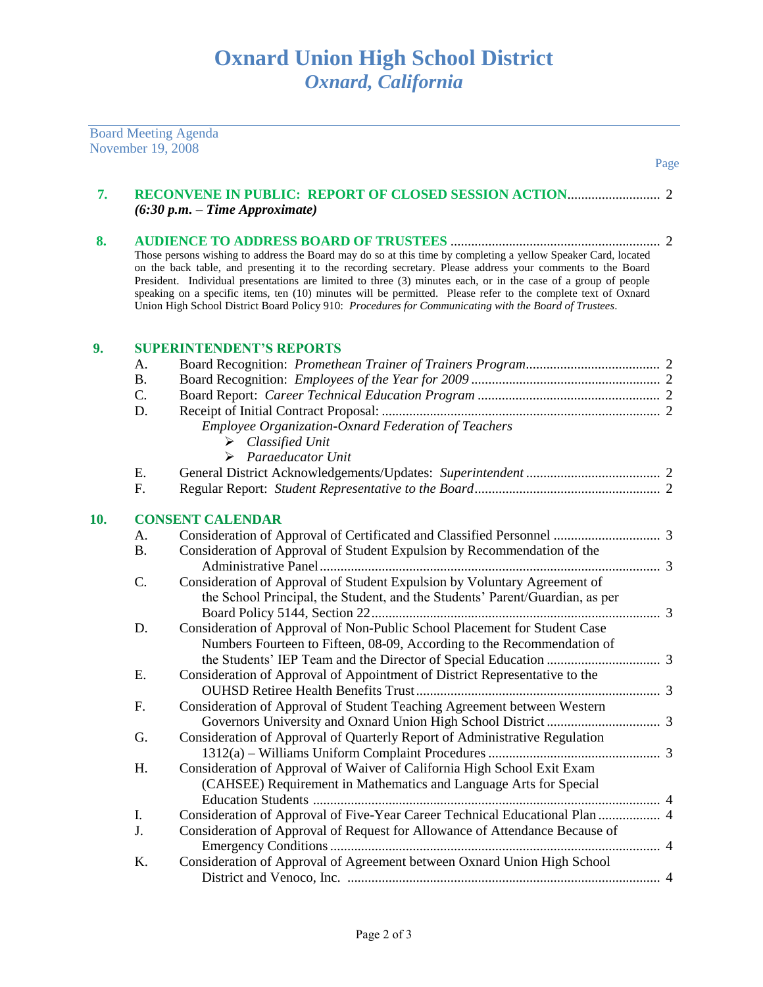|     | November 19, 2008           | <b>Board Meeting Agenda</b>                                                                                                                                                                                                                                                                                                                                                                                                                                                                                                                                              |
|-----|-----------------------------|--------------------------------------------------------------------------------------------------------------------------------------------------------------------------------------------------------------------------------------------------------------------------------------------------------------------------------------------------------------------------------------------------------------------------------------------------------------------------------------------------------------------------------------------------------------------------|
|     |                             | Page                                                                                                                                                                                                                                                                                                                                                                                                                                                                                                                                                                     |
| 7.  |                             | $(6:30 p.m. - Time Approximate)$                                                                                                                                                                                                                                                                                                                                                                                                                                                                                                                                         |
| 8.  |                             | Those persons wishing to address the Board may do so at this time by completing a yellow Speaker Card, located<br>on the back table, and presenting it to the recording secretary. Please address your comments to the Board<br>President. Individual presentations are limited to three (3) minutes each, or in the case of a group of people<br>speaking on a specific items, ten (10) minutes will be permitted. Please refer to the complete text of Oxnard<br>Union High School District Board Policy 910: Procedures for Communicating with the Board of Trustees. |
| 9.  |                             | <b>SUPERINTENDENT'S REPORTS</b>                                                                                                                                                                                                                                                                                                                                                                                                                                                                                                                                          |
|     | A.<br><b>B.</b><br>C.<br>D. | Employee Organization-Oxnard Federation of Teachers<br>$\triangleright$ Classified Unit<br>$\triangleright$ Paraeducator Unit                                                                                                                                                                                                                                                                                                                                                                                                                                            |
|     | E.                          |                                                                                                                                                                                                                                                                                                                                                                                                                                                                                                                                                                          |
|     | F.                          |                                                                                                                                                                                                                                                                                                                                                                                                                                                                                                                                                                          |
| 10. |                             | <b>CONSENT CALENDAR</b>                                                                                                                                                                                                                                                                                                                                                                                                                                                                                                                                                  |
|     | A.                          |                                                                                                                                                                                                                                                                                                                                                                                                                                                                                                                                                                          |
|     | <b>B.</b>                   | Consideration of Approval of Student Expulsion by Recommendation of the                                                                                                                                                                                                                                                                                                                                                                                                                                                                                                  |
|     | C.                          | Consideration of Approval of Student Expulsion by Voluntary Agreement of<br>the School Principal, the Student, and the Students' Parent/Guardian, as per                                                                                                                                                                                                                                                                                                                                                                                                                 |
|     | D.                          | Consideration of Approval of Non-Public School Placement for Student Case<br>Numbers Fourteen to Fifteen, 08-09, According to the Recommendation of                                                                                                                                                                                                                                                                                                                                                                                                                      |
|     | Ε.                          | Consideration of Approval of Appointment of District Representative to the                                                                                                                                                                                                                                                                                                                                                                                                                                                                                               |
|     | F.                          | Consideration of Approval of Student Teaching Agreement between Western                                                                                                                                                                                                                                                                                                                                                                                                                                                                                                  |
|     | G.                          | Consideration of Approval of Quarterly Report of Administrative Regulation                                                                                                                                                                                                                                                                                                                                                                                                                                                                                               |
|     | Η.                          | Consideration of Approval of Waiver of California High School Exit Exam<br>(CAHSEE) Requirement in Mathematics and Language Arts for Special                                                                                                                                                                                                                                                                                                                                                                                                                             |
|     | I.                          | Consideration of Approval of Five-Year Career Technical Educational Plan  4                                                                                                                                                                                                                                                                                                                                                                                                                                                                                              |
|     | J.                          | Consideration of Approval of Request for Allowance of Attendance Because of                                                                                                                                                                                                                                                                                                                                                                                                                                                                                              |
|     | K.                          | Consideration of Approval of Agreement between Oxnard Union High School                                                                                                                                                                                                                                                                                                                                                                                                                                                                                                  |